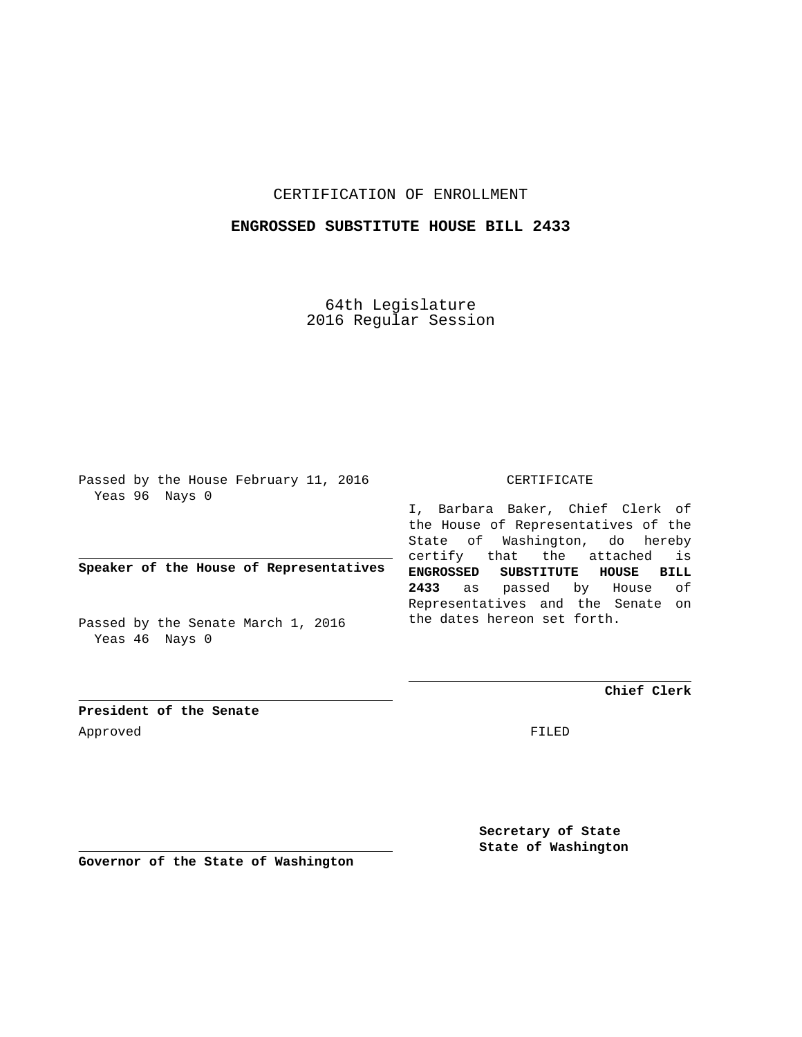## CERTIFICATION OF ENROLLMENT

## **ENGROSSED SUBSTITUTE HOUSE BILL 2433**

64th Legislature 2016 Regular Session

Passed by the House February 11, 2016 Yeas 96 Nays 0

**Speaker of the House of Representatives**

Passed by the Senate March 1, 2016 Yeas 46 Nays 0

CERTIFICATE

I, Barbara Baker, Chief Clerk of the House of Representatives of the State of Washington, do hereby certify that the attached is **ENGROSSED SUBSTITUTE HOUSE BILL 2433** as passed by House of Representatives and the Senate on the dates hereon set forth.

**Chief Clerk**

**President of the Senate** Approved FILED

**Secretary of State State of Washington**

**Governor of the State of Washington**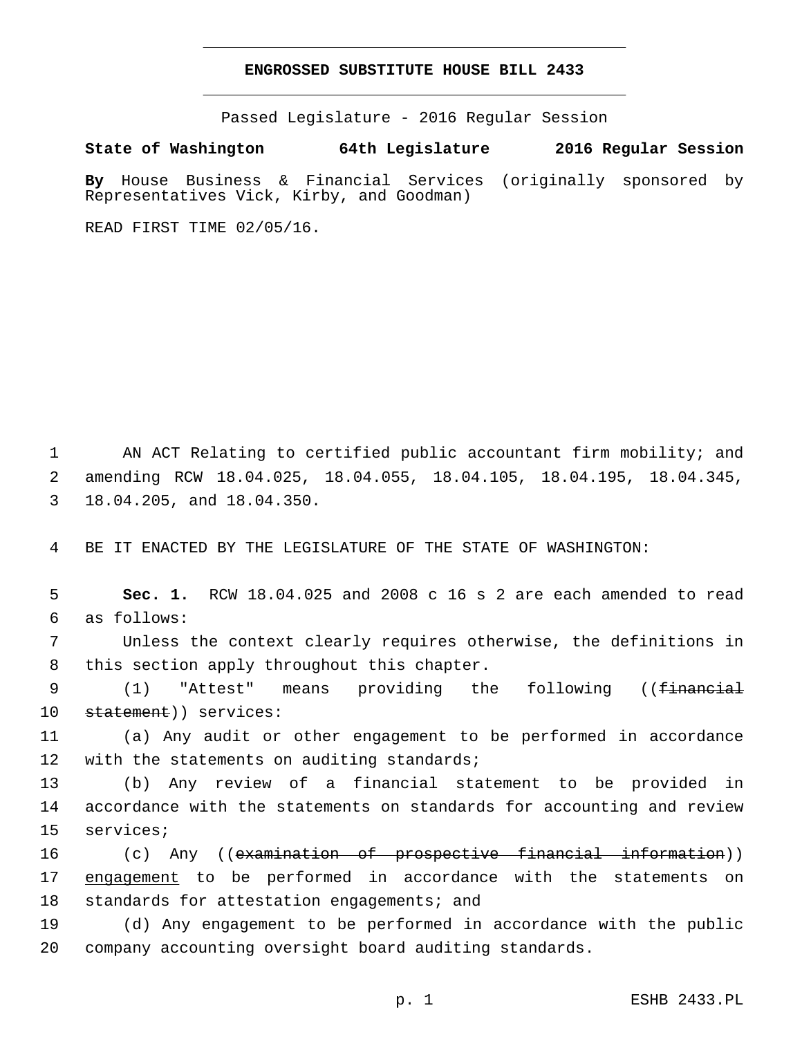## **ENGROSSED SUBSTITUTE HOUSE BILL 2433**

Passed Legislature - 2016 Regular Session

**State of Washington 64th Legislature 2016 Regular Session**

**By** House Business & Financial Services (originally sponsored by Representatives Vick, Kirby, and Goodman)

READ FIRST TIME 02/05/16.

1 AN ACT Relating to certified public accountant firm mobility; and 2 amending RCW 18.04.025, 18.04.055, 18.04.105, 18.04.195, 18.04.345, 3 18.04.205, and 18.04.350.

4 BE IT ENACTED BY THE LEGISLATURE OF THE STATE OF WASHINGTON:

5 **Sec. 1.** RCW 18.04.025 and 2008 c 16 s 2 are each amended to read as follows:6

7 Unless the context clearly requires otherwise, the definitions in 8 this section apply throughout this chapter.

9 (1) "Attest" means providing the following ((<del>financial</del> 10 statement)) services:

11 (a) Any audit or other engagement to be performed in accordance 12 with the statements on auditing standards;

13 (b) Any review of a financial statement to be provided in 14 accordance with the statements on standards for accounting and review 15 services;

16 (c) Any ((examination of prospective financial information)) 17 engagement to be performed in accordance with the statements on 18 standards for attestation engagements; and

19 (d) Any engagement to be performed in accordance with the public 20 company accounting oversight board auditing standards.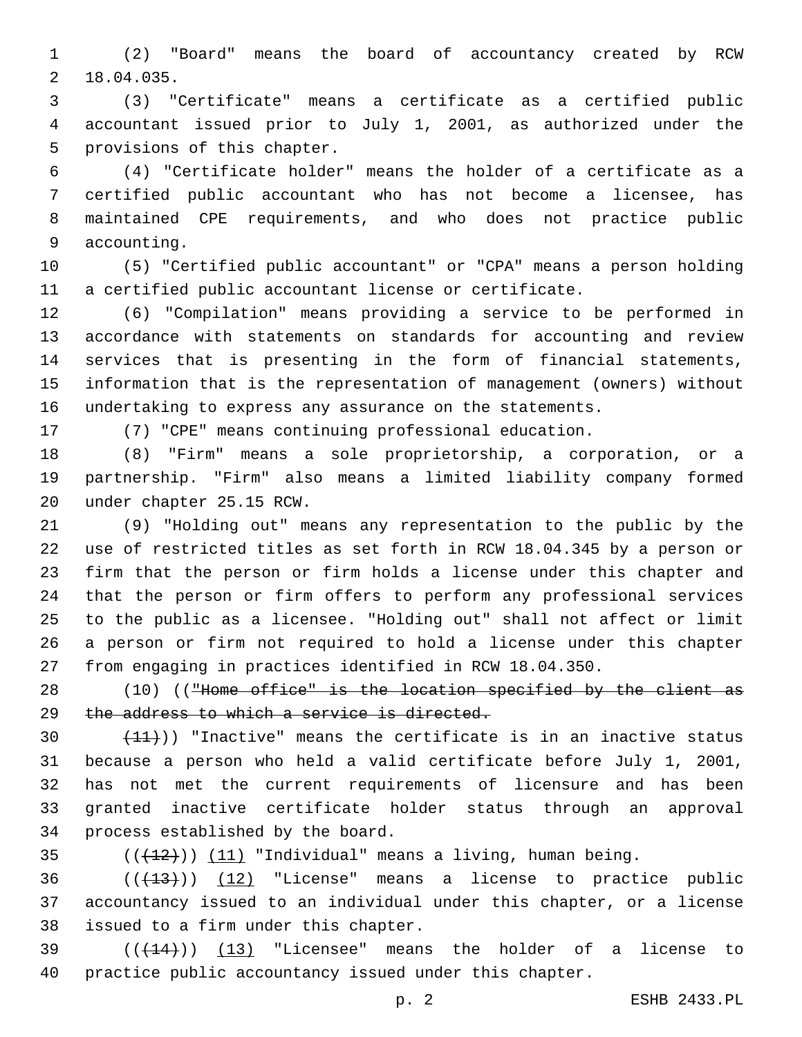(2) "Board" means the board of accountancy created by RCW 18.04.035.2

 (3) "Certificate" means a certificate as a certified public accountant issued prior to July 1, 2001, as authorized under the 5 provisions of this chapter.

 (4) "Certificate holder" means the holder of a certificate as a certified public accountant who has not become a licensee, has maintained CPE requirements, and who does not practice public 9 accounting.

 (5) "Certified public accountant" or "CPA" means a person holding a certified public accountant license or certificate.

 (6) "Compilation" means providing a service to be performed in accordance with statements on standards for accounting and review services that is presenting in the form of financial statements, information that is the representation of management (owners) without undertaking to express any assurance on the statements.

(7) "CPE" means continuing professional education.

 (8) "Firm" means a sole proprietorship, a corporation, or a partnership. "Firm" also means a limited liability company formed 20 under chapter 25.15 RCW.

 (9) "Holding out" means any representation to the public by the use of restricted titles as set forth in RCW 18.04.345 by a person or firm that the person or firm holds a license under this chapter and that the person or firm offers to perform any professional services to the public as a licensee. "Holding out" shall not affect or limit a person or firm not required to hold a license under this chapter from engaging in practices identified in RCW 18.04.350.

28 (10) (("Home office" is the location specified by the client as 29 the address to which a service is directed.

 $(11)$ ) "Inactive" means the certificate is in an inactive status because a person who held a valid certificate before July 1, 2001, has not met the current requirements of licensure and has been granted inactive certificate holder status through an approval 34 process established by the board.

35  $((+12))$   $(11)$  "Individual" means a living, human being.

  $((+13))$   $(12)$  "License" means a license to practice public accountancy issued to an individual under this chapter, or a license 38 issued to a firm under this chapter.

 $(39$  ( $(444)$ )) (13) "Licensee" means the holder of a license to practice public accountancy issued under this chapter.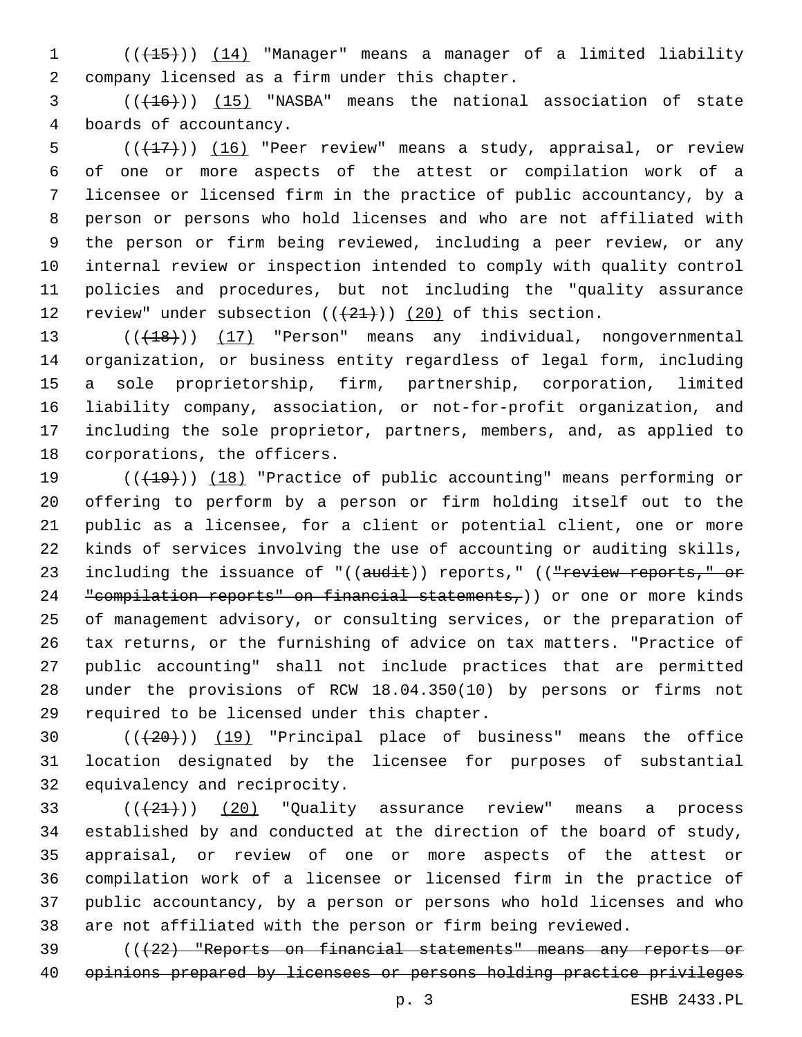(((15))) (14) "Manager" means a manager of a limited liability company licensed as a firm under this chapter.2

3 (( $(16)$ )) (15) "NASBA" means the national association of state 4 boards of accountancy.

 $((+17))$   $(16)$  "Peer review" means a study, appraisal, or review of one or more aspects of the attest or compilation work of a licensee or licensed firm in the practice of public accountancy, by a person or persons who hold licenses and who are not affiliated with the person or firm being reviewed, including a peer review, or any internal review or inspection intended to comply with quality control policies and procedures, but not including the "quality assurance 12 review" under subsection  $((+21+))$   $(20)$  of this section.

13 (( $(18)$ )) (17) "Person" means any individual, nongovernmental organization, or business entity regardless of legal form, including a sole proprietorship, firm, partnership, corporation, limited liability company, association, or not-for-profit organization, and including the sole proprietor, partners, members, and, as applied to 18 corporations, the officers.

19 (( $(19)$ ) (18) "Practice of public accounting" means performing or offering to perform by a person or firm holding itself out to the public as a licensee, for a client or potential client, one or more kinds of services involving the use of accounting or auditing skills, 23 including the issuance of "((audit)) reports," ((<del>"review reports," or</del> 24 "compilation reports" on financial statements,)) or one or more kinds of management advisory, or consulting services, or the preparation of tax returns, or the furnishing of advice on tax matters. "Practice of public accounting" shall not include practices that are permitted under the provisions of RCW 18.04.350(10) by persons or firms not 29 required to be licensed under this chapter.

 (((20))) (19) "Principal place of business" means the office location designated by the licensee for purposes of substantial 32 equivalency and reciprocity.

 $(1+21)$   $(20)$  "Quality assurance review" means a process established by and conducted at the direction of the board of study, appraisal, or review of one or more aspects of the attest or compilation work of a licensee or licensed firm in the practice of public accountancy, by a person or persons who hold licenses and who are not affiliated with the person or firm being reviewed.

 (((22) "Reports on financial statements" means any reports or opinions prepared by licensees or persons holding practice privileges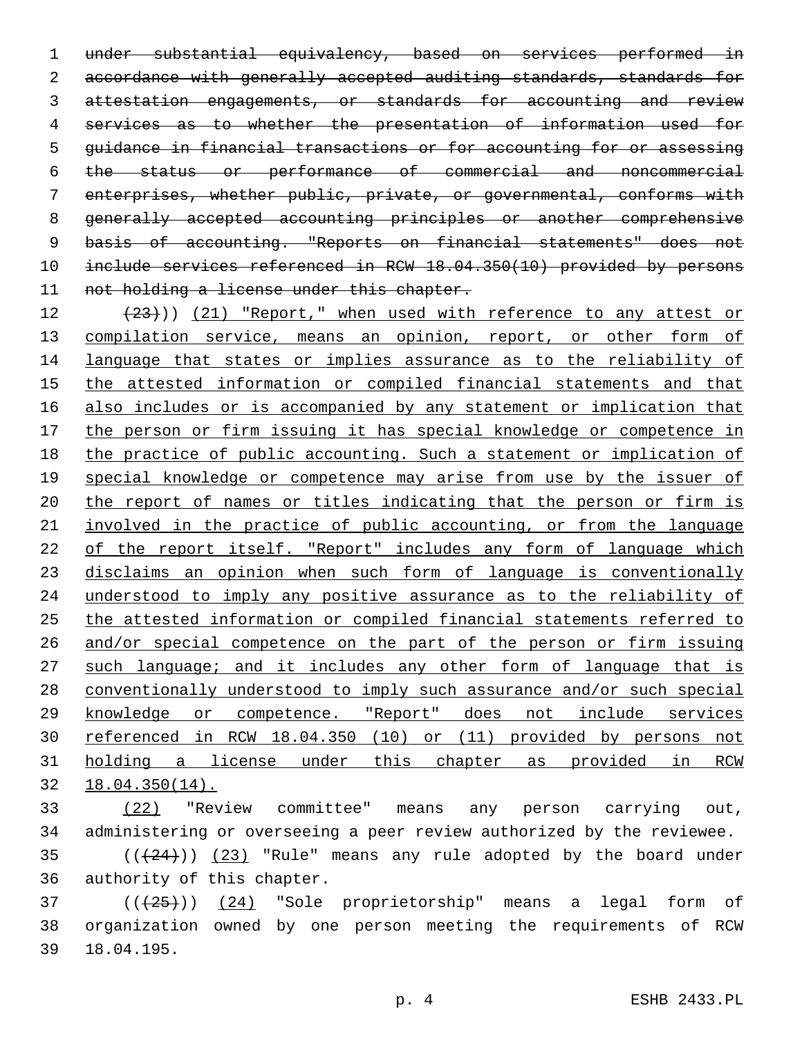under substantial equivalency, based on services performed in 2 accordance with generally accepted auditing standards, standards for 3 attestation engagements, or standards for accounting and review services as to whether the presentation of information used for guidance in financial transactions or for accounting for or assessing the status or performance of commercial and noncommercial enterprises, whether public, private, or governmental, conforms with generally accepted accounting principles or another comprehensive basis of accounting. "Reports on financial statements" does not include services referenced in RCW 18.04.350(10) provided by persons 11 not holding a license under this chapter.

 $(23)$ )) (21) "Report," when used with reference to any attest or 13 compilation service, means an opinion, report, or other form of language that states or implies assurance as to the reliability of the attested information or compiled financial statements and that also includes or is accompanied by any statement or implication that the person or firm issuing it has special knowledge or competence in the practice of public accounting. Such a statement or implication of 19 special knowledge or competence may arise from use by the issuer of the report of names or titles indicating that the person or firm is involved in the practice of public accounting, or from the language 22 of the report itself. "Report" includes any form of language which disclaims an opinion when such form of language is conventionally understood to imply any positive assurance as to the reliability of the attested information or compiled financial statements referred to and/or special competence on the part of the person or firm issuing 27 such language; and it includes any other form of language that is conventionally understood to imply such assurance and/or such special knowledge or competence. "Report" does not include services referenced in RCW 18.04.350 (10) or (11) provided by persons not holding a license under this chapter as provided in RCW 18.04.350(14).

 (22) "Review committee" means any person carrying out, administering or overseeing a peer review authorized by the reviewee. ( $(424)$ ))  $(23)$  "Rule" means any rule adopted by the board under

36 authority of this chapter.

37 (( $\left(\frac{24}{125}\right)$ ) (24) "Sole proprietorship" means a legal form of organization owned by one person meeting the requirements of RCW 18.04.195.39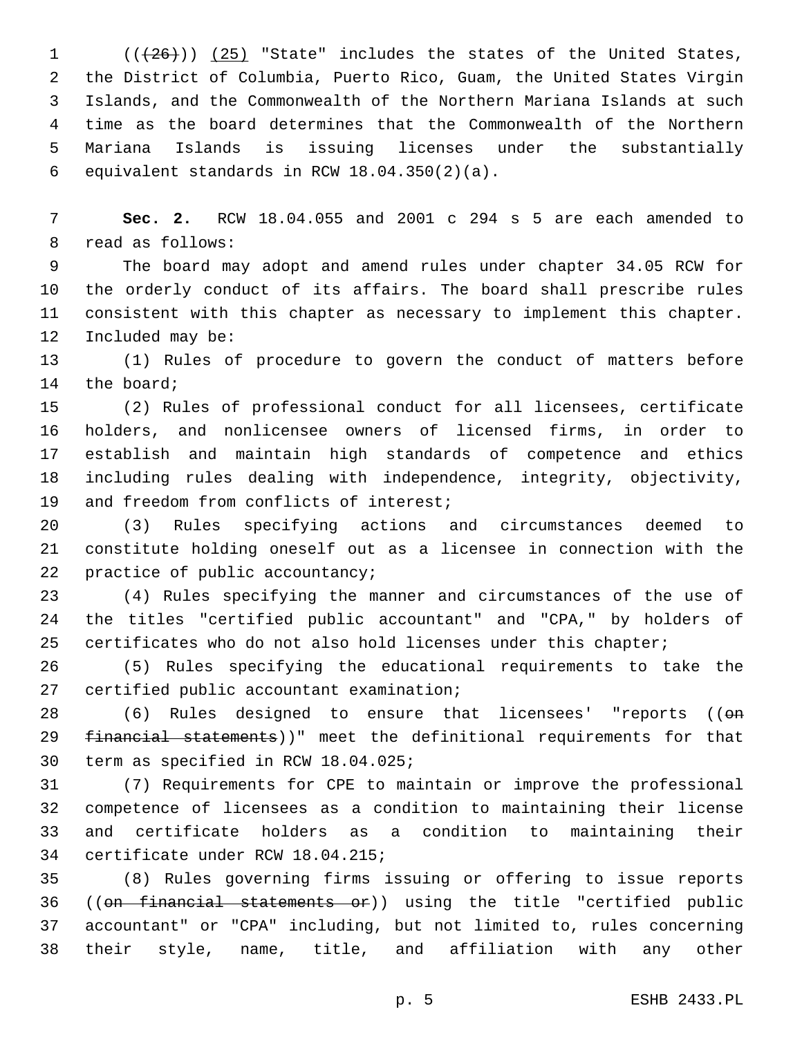$((+26))$  (25) "State" includes the states of the United States, the District of Columbia, Puerto Rico, Guam, the United States Virgin Islands, and the Commonwealth of the Northern Mariana Islands at such time as the board determines that the Commonwealth of the Northern Mariana Islands is issuing licenses under the substantially 6 equivalent standards in RCW  $18.04.350(2)(a)$ .

 **Sec. 2.** RCW 18.04.055 and 2001 c 294 s 5 are each amended to 8 read as follows:

 The board may adopt and amend rules under chapter 34.05 RCW for the orderly conduct of its affairs. The board shall prescribe rules consistent with this chapter as necessary to implement this chapter. 12 Included may be:

 (1) Rules of procedure to govern the conduct of matters before 14 the board;

 (2) Rules of professional conduct for all licensees, certificate holders, and nonlicensee owners of licensed firms, in order to establish and maintain high standards of competence and ethics including rules dealing with independence, integrity, objectivity, 19 and freedom from conflicts of interest;

 (3) Rules specifying actions and circumstances deemed to constitute holding oneself out as a licensee in connection with the 22 practice of public accountancy;

 (4) Rules specifying the manner and circumstances of the use of the titles "certified public accountant" and "CPA," by holders of certificates who do not also hold licenses under this chapter;

 (5) Rules specifying the educational requirements to take the 27 certified public accountant examination;

28 (6) Rules designed to ensure that licensees' "reports (( $\Theta$ m 29 financial statements))" meet the definitional requirements for that 30 term as specified in RCW 18.04.025;

 (7) Requirements for CPE to maintain or improve the professional competence of licensees as a condition to maintaining their license and certificate holders as a condition to maintaining their 34 certificate under RCW 18.04.215;

 (8) Rules governing firms issuing or offering to issue reports ((on financial statements or)) using the title "certified public accountant" or "CPA" including, but not limited to, rules concerning their style, name, title, and affiliation with any other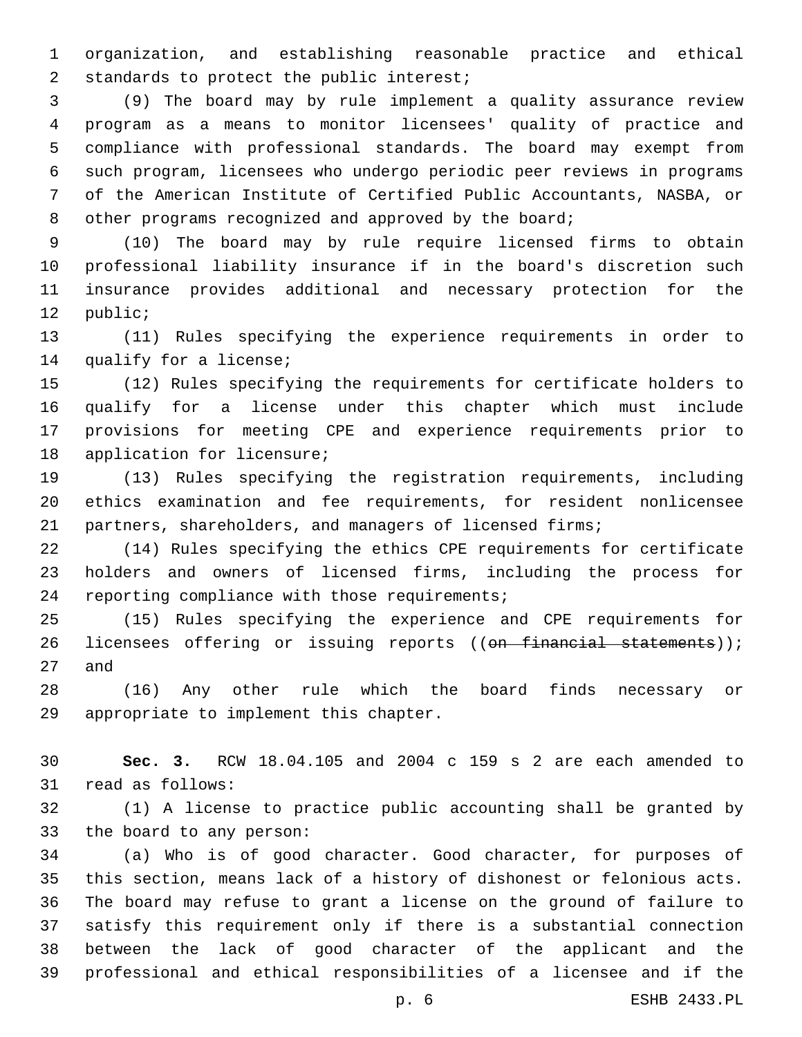organization, and establishing reasonable practice and ethical 2 standards to protect the public interest;

 (9) The board may by rule implement a quality assurance review program as a means to monitor licensees' quality of practice and compliance with professional standards. The board may exempt from such program, licensees who undergo periodic peer reviews in programs of the American Institute of Certified Public Accountants, NASBA, or 8 other programs recognized and approved by the board;

 (10) The board may by rule require licensed firms to obtain professional liability insurance if in the board's discretion such insurance provides additional and necessary protection for the 12 public;

 (11) Rules specifying the experience requirements in order to 14 qualify for a license;

 (12) Rules specifying the requirements for certificate holders to qualify for a license under this chapter which must include provisions for meeting CPE and experience requirements prior to 18 application for licensure;

 (13) Rules specifying the registration requirements, including ethics examination and fee requirements, for resident nonlicensee partners, shareholders, and managers of licensed firms;

 (14) Rules specifying the ethics CPE requirements for certificate holders and owners of licensed firms, including the process for 24 reporting compliance with those requirements;

 (15) Rules specifying the experience and CPE requirements for 26 licensees offering or issuing reports ((on financial statements)); 27 and

 (16) Any other rule which the board finds necessary or 29 appropriate to implement this chapter.

 **Sec. 3.** RCW 18.04.105 and 2004 c 159 s 2 are each amended to 31 read as follows:

 (1) A license to practice public accounting shall be granted by 33 the board to any person:

 (a) Who is of good character. Good character, for purposes of this section, means lack of a history of dishonest or felonious acts. The board may refuse to grant a license on the ground of failure to satisfy this requirement only if there is a substantial connection between the lack of good character of the applicant and the professional and ethical responsibilities of a licensee and if the

p. 6 ESHB 2433.PL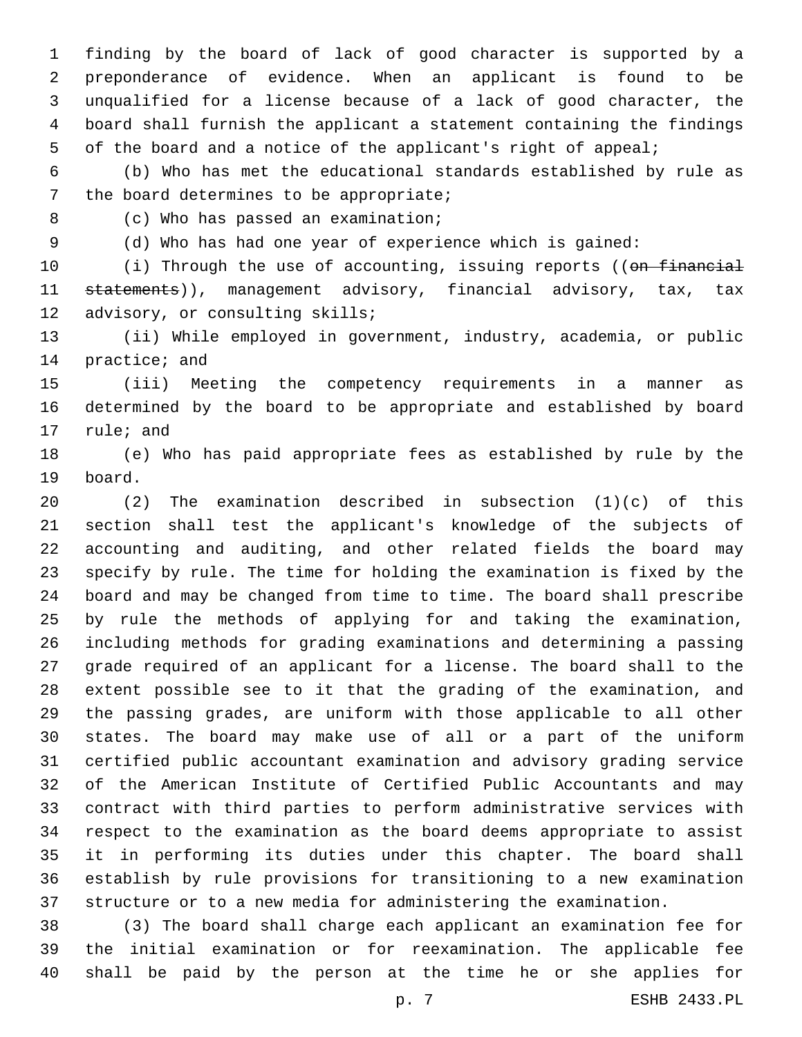finding by the board of lack of good character is supported by a preponderance of evidence. When an applicant is found to be unqualified for a license because of a lack of good character, the board shall furnish the applicant a statement containing the findings of the board and a notice of the applicant's right of appeal;

 (b) Who has met the educational standards established by rule as 7 the board determines to be appropriate;

8 (c) Who has passed an examination;

(d) Who has had one year of experience which is gained:

10 (i) Through the use of accounting, issuing reports ((on financial 11 statements)), management advisory, financial advisory, tax, tax 12 advisory, or consulting skills;

 (ii) While employed in government, industry, academia, or public 14 practice; and

 (iii) Meeting the competency requirements in a manner as determined by the board to be appropriate and established by board 17 rule; and

 (e) Who has paid appropriate fees as established by rule by the 19 board.

 (2) The examination described in subsection (1)(c) of this section shall test the applicant's knowledge of the subjects of accounting and auditing, and other related fields the board may specify by rule. The time for holding the examination is fixed by the board and may be changed from time to time. The board shall prescribe by rule the methods of applying for and taking the examination, including methods for grading examinations and determining a passing grade required of an applicant for a license. The board shall to the extent possible see to it that the grading of the examination, and the passing grades, are uniform with those applicable to all other states. The board may make use of all or a part of the uniform certified public accountant examination and advisory grading service of the American Institute of Certified Public Accountants and may contract with third parties to perform administrative services with respect to the examination as the board deems appropriate to assist it in performing its duties under this chapter. The board shall establish by rule provisions for transitioning to a new examination structure or to a new media for administering the examination.

 (3) The board shall charge each applicant an examination fee for the initial examination or for reexamination. The applicable fee shall be paid by the person at the time he or she applies for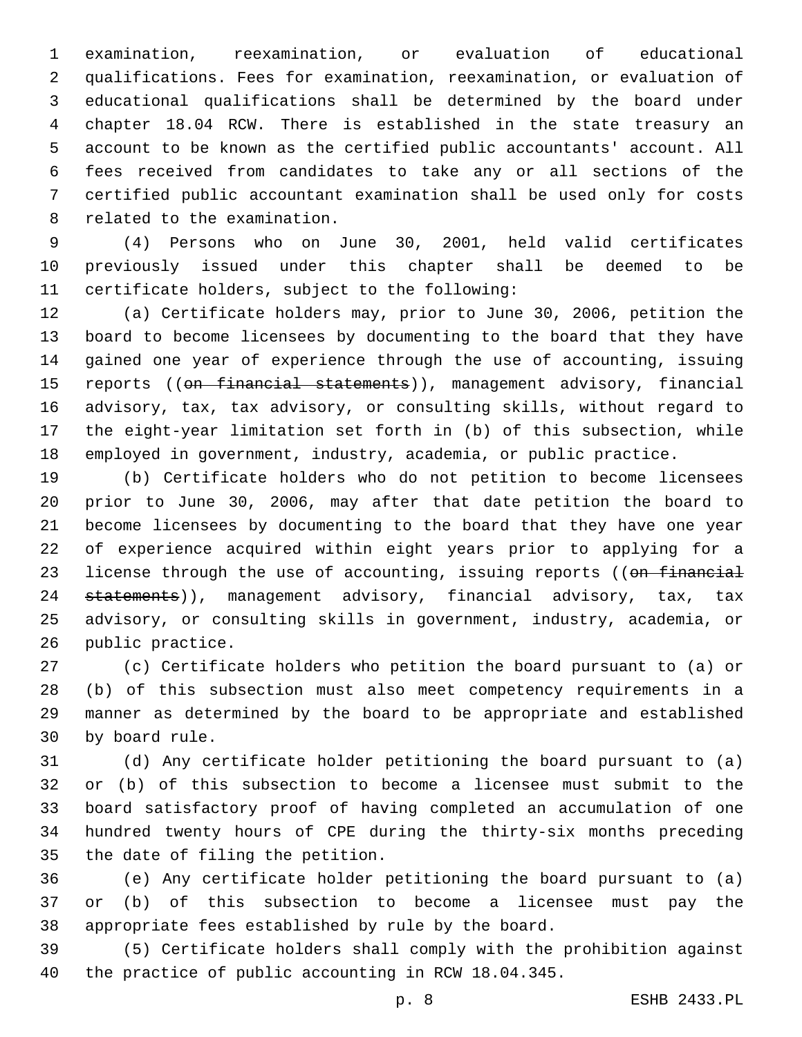examination, reexamination, or evaluation of educational qualifications. Fees for examination, reexamination, or evaluation of educational qualifications shall be determined by the board under chapter 18.04 RCW. There is established in the state treasury an account to be known as the certified public accountants' account. All fees received from candidates to take any or all sections of the certified public accountant examination shall be used only for costs 8 related to the examination.

 (4) Persons who on June 30, 2001, held valid certificates previously issued under this chapter shall be deemed to be 11 certificate holders, subject to the following:

 (a) Certificate holders may, prior to June 30, 2006, petition the board to become licensees by documenting to the board that they have gained one year of experience through the use of accounting, issuing 15 reports ((<del>on financial statements</del>)), management advisory, financial advisory, tax, tax advisory, or consulting skills, without regard to the eight-year limitation set forth in (b) of this subsection, while employed in government, industry, academia, or public practice.

 (b) Certificate holders who do not petition to become licensees prior to June 30, 2006, may after that date petition the board to become licensees by documenting to the board that they have one year of experience acquired within eight years prior to applying for a 23 license through the use of accounting, issuing reports ((on financial 24 statements)), management advisory, financial advisory, tax, tax advisory, or consulting skills in government, industry, academia, or 26 public practice.

 (c) Certificate holders who petition the board pursuant to (a) or (b) of this subsection must also meet competency requirements in a manner as determined by the board to be appropriate and established 30 by board rule.

 (d) Any certificate holder petitioning the board pursuant to (a) or (b) of this subsection to become a licensee must submit to the board satisfactory proof of having completed an accumulation of one hundred twenty hours of CPE during the thirty-six months preceding 35 the date of filing the petition.

 (e) Any certificate holder petitioning the board pursuant to (a) or (b) of this subsection to become a licensee must pay the appropriate fees established by rule by the board.

 (5) Certificate holders shall comply with the prohibition against the practice of public accounting in RCW 18.04.345.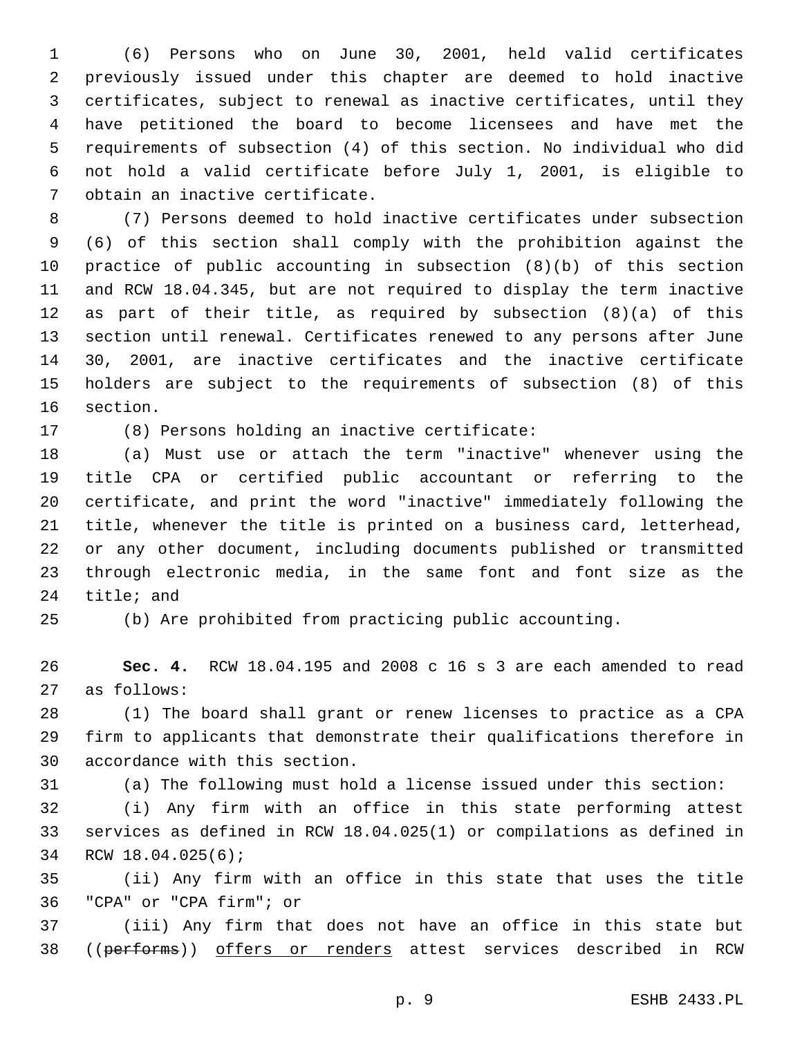(6) Persons who on June 30, 2001, held valid certificates previously issued under this chapter are deemed to hold inactive certificates, subject to renewal as inactive certificates, until they have petitioned the board to become licensees and have met the requirements of subsection (4) of this section. No individual who did not hold a valid certificate before July 1, 2001, is eligible to 7 obtain an inactive certificate.

 (7) Persons deemed to hold inactive certificates under subsection (6) of this section shall comply with the prohibition against the practice of public accounting in subsection (8)(b) of this section and RCW 18.04.345, but are not required to display the term inactive as part of their title, as required by subsection (8)(a) of this section until renewal. Certificates renewed to any persons after June 30, 2001, are inactive certificates and the inactive certificate holders are subject to the requirements of subsection (8) of this 16 section.

17 (8) Persons holding an inactive certificate:

 (a) Must use or attach the term "inactive" whenever using the title CPA or certified public accountant or referring to the certificate, and print the word "inactive" immediately following the title, whenever the title is printed on a business card, letterhead, or any other document, including documents published or transmitted through electronic media, in the same font and font size as the 24 title; and

(b) Are prohibited from practicing public accounting.

 **Sec. 4.** RCW 18.04.195 and 2008 c 16 s 3 are each amended to read as follows:27

 (1) The board shall grant or renew licenses to practice as a CPA firm to applicants that demonstrate their qualifications therefore in 30 accordance with this section.

(a) The following must hold a license issued under this section:

 (i) Any firm with an office in this state performing attest services as defined in RCW 18.04.025(1) or compilations as defined in 34 RCW 18.04.025(6);

 (ii) Any firm with an office in this state that uses the title "CPA" or "CPA firm"; or36

 (iii) Any firm that does not have an office in this state but 38 ((performs)) offers or renders attest services described in RCW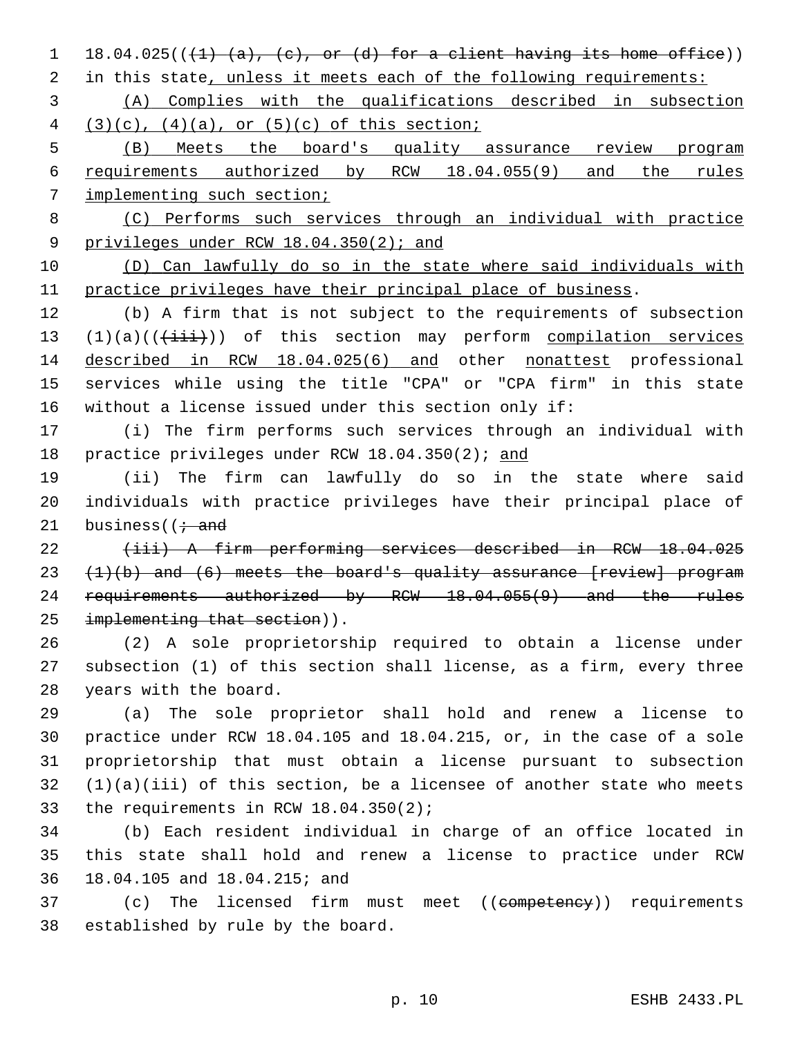1 18.04.025( $(\frac{1}{4} \cdot \frac{a}{a}, \frac{c}{c}, \text{or (d) for a client having its home office})$ )

2 in this state, unless it meets each of the following requirements:

 (A) Complies with the qualifications described in subsection 4  $(3)(c)$ ,  $(4)(a)$ , or  $(5)(c)$  of this section;

 (B) Meets the board's quality assurance review program requirements authorized by RCW 18.04.055(9) and the rules implementing such section;

 (C) Performs such services through an individual with practice 9 privileges under RCW 18.04.350(2); and

 (D) Can lawfully do so in the state where said individuals with practice privileges have their principal place of business.

 (b) A firm that is not subject to the requirements of subsection  $(1)(a)((\overrightarrow{iii}))$  of this section may perform compilation services described in RCW 18.04.025(6) and other nonattest professional services while using the title "CPA" or "CPA firm" in this state without a license issued under this section only if:

 (i) The firm performs such services through an individual with practice privileges under RCW 18.04.350(2); and

 (ii) The firm can lawfully do so in the state where said individuals with practice privileges have their principal place of 21 business  $(i \cdot$  and

 (iii) A firm performing services described in RCW 18.04.025  $(1)(b)$  and  $(6)$  meets the board's quality assurance [review] program 24 requirements authorized by RCW 18.04.055(9) and the rules 25 implementing that section)).

 (2) A sole proprietorship required to obtain a license under subsection (1) of this section shall license, as a firm, every three 28 years with the board.

 (a) The sole proprietor shall hold and renew a license to practice under RCW 18.04.105 and 18.04.215, or, in the case of a sole proprietorship that must obtain a license pursuant to subsection (1)(a)(iii) of this section, be a licensee of another state who meets 33 the requirements in RCW  $18.04.350(2)$ ;

 (b) Each resident individual in charge of an office located in this state shall hold and renew a license to practice under RCW 18.04.105 and 18.04.215; and36

37 (c) The licensed firm must meet ((competency)) requirements 38 established by rule by the board.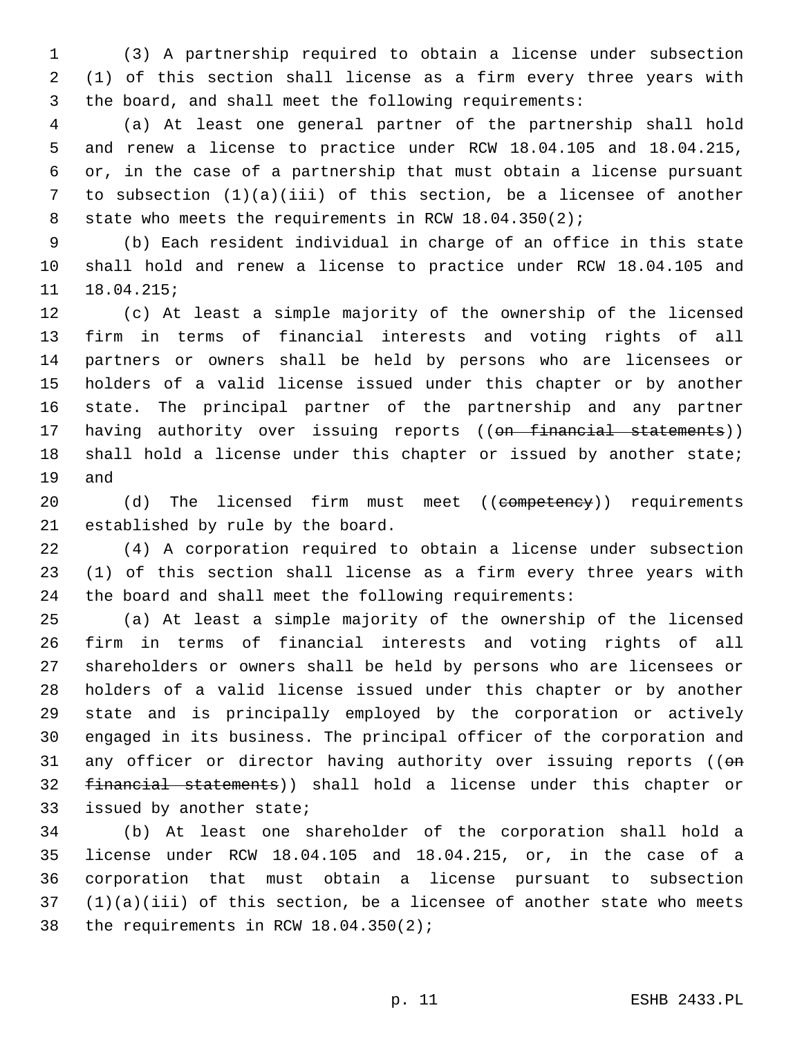(3) A partnership required to obtain a license under subsection (1) of this section shall license as a firm every three years with the board, and shall meet the following requirements:

 (a) At least one general partner of the partnership shall hold and renew a license to practice under RCW 18.04.105 and 18.04.215, or, in the case of a partnership that must obtain a license pursuant to subsection (1)(a)(iii) of this section, be a licensee of another 8 state who meets the requirements in RCW 18.04.350(2);

 (b) Each resident individual in charge of an office in this state shall hold and renew a license to practice under RCW 18.04.105 and 18.04.215;

 (c) At least a simple majority of the ownership of the licensed firm in terms of financial interests and voting rights of all partners or owners shall be held by persons who are licensees or holders of a valid license issued under this chapter or by another state. The principal partner of the partnership and any partner 17 having authority over issuing reports ((on financial statements)) shall hold a license under this chapter or issued by another state; 19 and

20 (d) The licensed firm must meet ((competency)) requirements 21 established by rule by the board.

 (4) A corporation required to obtain a license under subsection (1) of this section shall license as a firm every three years with the board and shall meet the following requirements:

 (a) At least a simple majority of the ownership of the licensed firm in terms of financial interests and voting rights of all shareholders or owners shall be held by persons who are licensees or holders of a valid license issued under this chapter or by another state and is principally employed by the corporation or actively engaged in its business. The principal officer of the corporation and 31 any officer or director having authority over issuing reports (( $\Theta$ n financial statements)) shall hold a license under this chapter or 33 issued by another state;

 (b) At least one shareholder of the corporation shall hold a license under RCW 18.04.105 and 18.04.215, or, in the case of a corporation that must obtain a license pursuant to subsection (1)(a)(iii) of this section, be a licensee of another state who meets 38 the requirements in RCW  $18.04.350(2)$ ;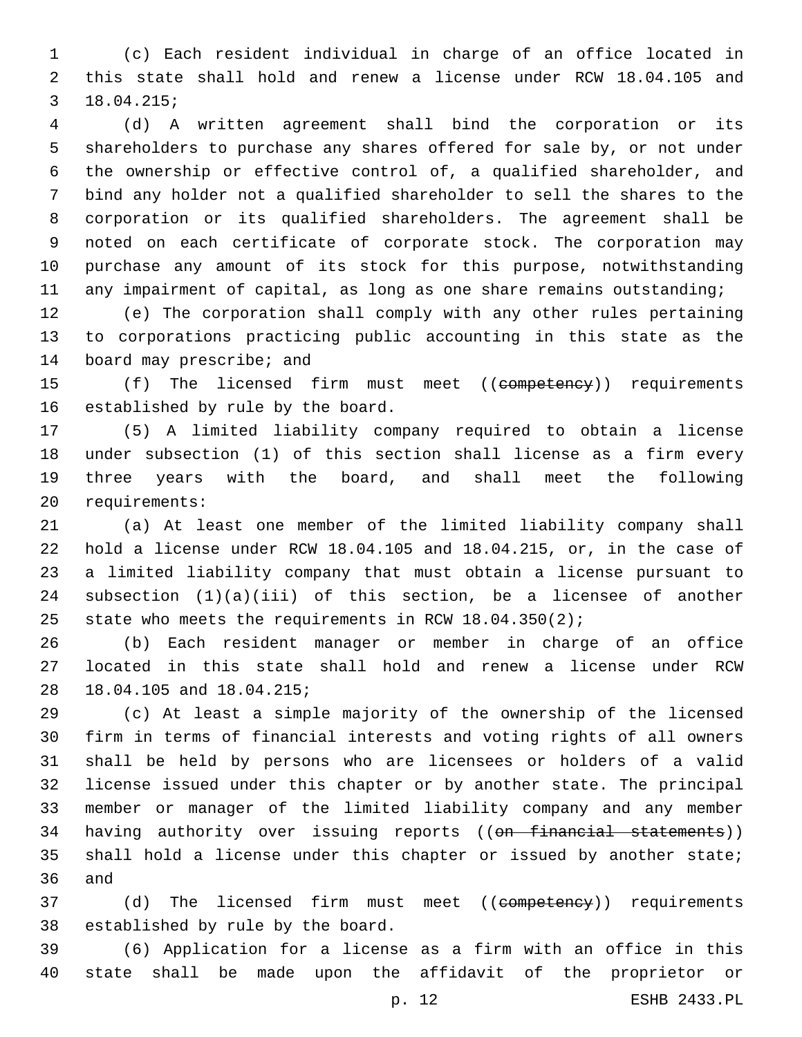(c) Each resident individual in charge of an office located in this state shall hold and renew a license under RCW 18.04.105 and 18.04.215;3

 (d) A written agreement shall bind the corporation or its shareholders to purchase any shares offered for sale by, or not under the ownership or effective control of, a qualified shareholder, and bind any holder not a qualified shareholder to sell the shares to the corporation or its qualified shareholders. The agreement shall be noted on each certificate of corporate stock. The corporation may purchase any amount of its stock for this purpose, notwithstanding any impairment of capital, as long as one share remains outstanding;

 (e) The corporation shall comply with any other rules pertaining to corporations practicing public accounting in this state as the 14 board may prescribe; and

15 (f) The licensed firm must meet ((competency)) requirements 16 established by rule by the board.

 (5) A limited liability company required to obtain a license under subsection (1) of this section shall license as a firm every three years with the board, and shall meet the following 20 requirements:

 (a) At least one member of the limited liability company shall hold a license under RCW 18.04.105 and 18.04.215, or, in the case of a limited liability company that must obtain a license pursuant to subsection (1)(a)(iii) of this section, be a licensee of another state who meets the requirements in RCW 18.04.350(2);

 (b) Each resident manager or member in charge of an office located in this state shall hold and renew a license under RCW 28 18.04.105 and 18.04.215;

 (c) At least a simple majority of the ownership of the licensed firm in terms of financial interests and voting rights of all owners shall be held by persons who are licensees or holders of a valid license issued under this chapter or by another state. The principal member or manager of the limited liability company and any member 34 having authority over issuing reports ((on financial statements)) shall hold a license under this chapter or issued by another state; 36 and

37 (d) The licensed firm must meet ((competency)) requirements 38 established by rule by the board.

 (6) Application for a license as a firm with an office in this state shall be made upon the affidavit of the proprietor or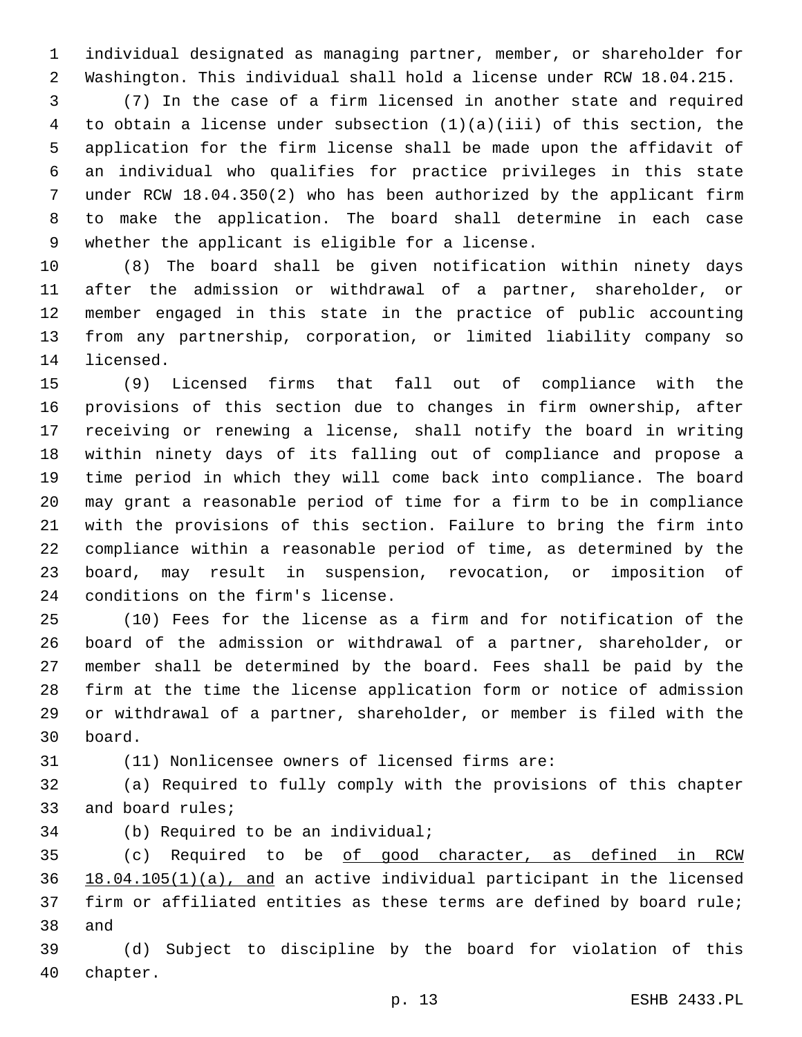individual designated as managing partner, member, or shareholder for Washington. This individual shall hold a license under RCW 18.04.215.

 (7) In the case of a firm licensed in another state and required to obtain a license under subsection (1)(a)(iii) of this section, the application for the firm license shall be made upon the affidavit of an individual who qualifies for practice privileges in this state under RCW 18.04.350(2) who has been authorized by the applicant firm to make the application. The board shall determine in each case 9 whether the applicant is eligible for a license.

 (8) The board shall be given notification within ninety days after the admission or withdrawal of a partner, shareholder, or member engaged in this state in the practice of public accounting from any partnership, corporation, or limited liability company so 14 licensed.

 (9) Licensed firms that fall out of compliance with the provisions of this section due to changes in firm ownership, after receiving or renewing a license, shall notify the board in writing within ninety days of its falling out of compliance and propose a time period in which they will come back into compliance. The board may grant a reasonable period of time for a firm to be in compliance with the provisions of this section. Failure to bring the firm into compliance within a reasonable period of time, as determined by the board, may result in suspension, revocation, or imposition of 24 conditions on the firm's license.

 (10) Fees for the license as a firm and for notification of the board of the admission or withdrawal of a partner, shareholder, or member shall be determined by the board. Fees shall be paid by the firm at the time the license application form or notice of admission or withdrawal of a partner, shareholder, or member is filed with the board.30

(11) Nonlicensee owners of licensed firms are:

 (a) Required to fully comply with the provisions of this chapter 33 and board rules;

34 (b) Required to be an individual;

35 (c) Required to be of good character, as defined in RCW 18.04.105(1)(a), and an active individual participant in the licensed firm or affiliated entities as these terms are defined by board rule; 38 and

 (d) Subject to discipline by the board for violation of this 40 chapter.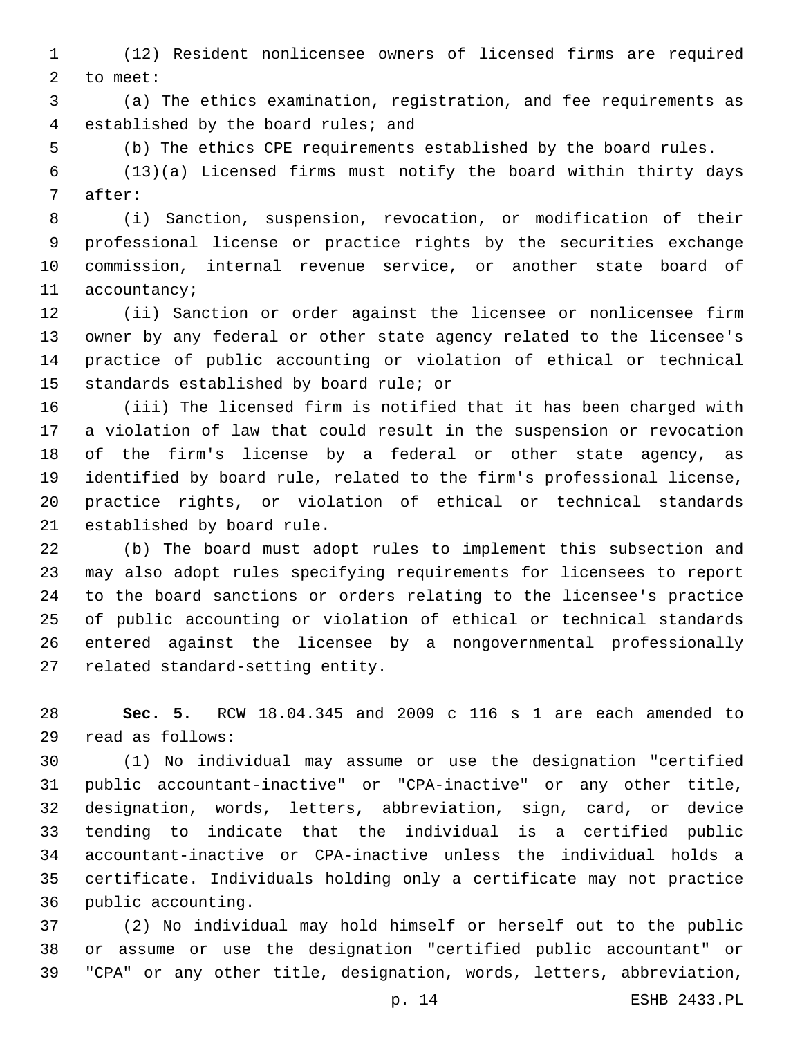(12) Resident nonlicensee owners of licensed firms are required 2 to meet:

 (a) The ethics examination, registration, and fee requirements as 4 established by the board rules; and

(b) The ethics CPE requirements established by the board rules.

 (13)(a) Licensed firms must notify the board within thirty days 7 after:

 (i) Sanction, suspension, revocation, or modification of their professional license or practice rights by the securities exchange commission, internal revenue service, or another state board of 11 accountancy;

 (ii) Sanction or order against the licensee or nonlicensee firm owner by any federal or other state agency related to the licensee's practice of public accounting or violation of ethical or technical 15 standards established by board rule; or

 (iii) The licensed firm is notified that it has been charged with a violation of law that could result in the suspension or revocation of the firm's license by a federal or other state agency, as identified by board rule, related to the firm's professional license, practice rights, or violation of ethical or technical standards 21 established by board rule.

 (b) The board must adopt rules to implement this subsection and may also adopt rules specifying requirements for licensees to report to the board sanctions or orders relating to the licensee's practice of public accounting or violation of ethical or technical standards entered against the licensee by a nongovernmental professionally 27 related standard-setting entity.

 **Sec. 5.** RCW 18.04.345 and 2009 c 116 s 1 are each amended to read as follows:29

 (1) No individual may assume or use the designation "certified public accountant-inactive" or "CPA-inactive" or any other title, designation, words, letters, abbreviation, sign, card, or device tending to indicate that the individual is a certified public accountant-inactive or CPA-inactive unless the individual holds a certificate. Individuals holding only a certificate may not practice 36 public accounting.

 (2) No individual may hold himself or herself out to the public or assume or use the designation "certified public accountant" or "CPA" or any other title, designation, words, letters, abbreviation,

p. 14 ESHB 2433.PL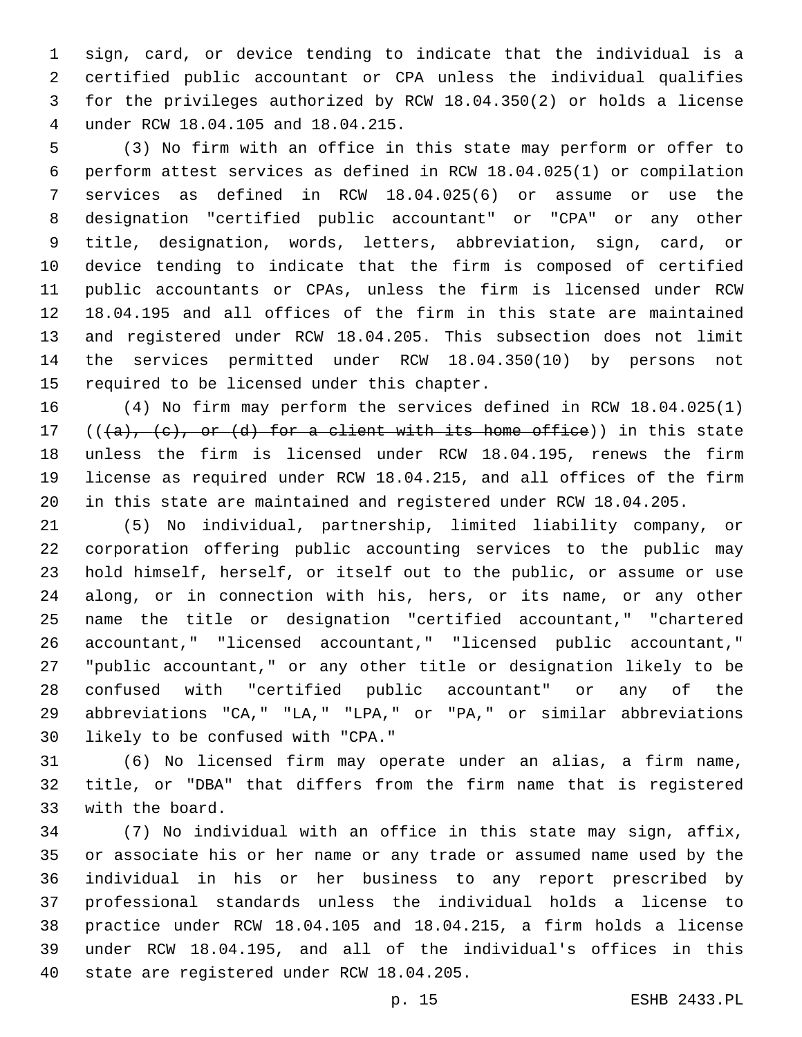sign, card, or device tending to indicate that the individual is a certified public accountant or CPA unless the individual qualifies for the privileges authorized by RCW 18.04.350(2) or holds a license under RCW 18.04.105 and 18.04.215.4

 (3) No firm with an office in this state may perform or offer to perform attest services as defined in RCW 18.04.025(1) or compilation services as defined in RCW 18.04.025(6) or assume or use the designation "certified public accountant" or "CPA" or any other title, designation, words, letters, abbreviation, sign, card, or device tending to indicate that the firm is composed of certified public accountants or CPAs, unless the firm is licensed under RCW 18.04.195 and all offices of the firm in this state are maintained and registered under RCW 18.04.205. This subsection does not limit the services permitted under RCW 18.04.350(10) by persons not 15 required to be licensed under this chapter.

 (4) No firm may perform the services defined in RCW 18.04.025(1) 17 ( $(\overline{\{a\}}, \overline{\{c\}}, \overline{\text{or } (d)}$  for a client with its home office)) in this state unless the firm is licensed under RCW 18.04.195, renews the firm license as required under RCW 18.04.215, and all offices of the firm in this state are maintained and registered under RCW 18.04.205.

 (5) No individual, partnership, limited liability company, or corporation offering public accounting services to the public may hold himself, herself, or itself out to the public, or assume or use along, or in connection with his, hers, or its name, or any other name the title or designation "certified accountant," "chartered accountant," "licensed accountant," "licensed public accountant," "public accountant," or any other title or designation likely to be confused with "certified public accountant" or any of the abbreviations "CA," "LA," "LPA," or "PA," or similar abbreviations 30 likely to be confused with "CPA."

 (6) No licensed firm may operate under an alias, a firm name, title, or "DBA" that differs from the firm name that is registered 33 with the board.

 (7) No individual with an office in this state may sign, affix, or associate his or her name or any trade or assumed name used by the individual in his or her business to any report prescribed by professional standards unless the individual holds a license to practice under RCW 18.04.105 and 18.04.215, a firm holds a license under RCW 18.04.195, and all of the individual's offices in this 40 state are registered under RCW 18.04.205.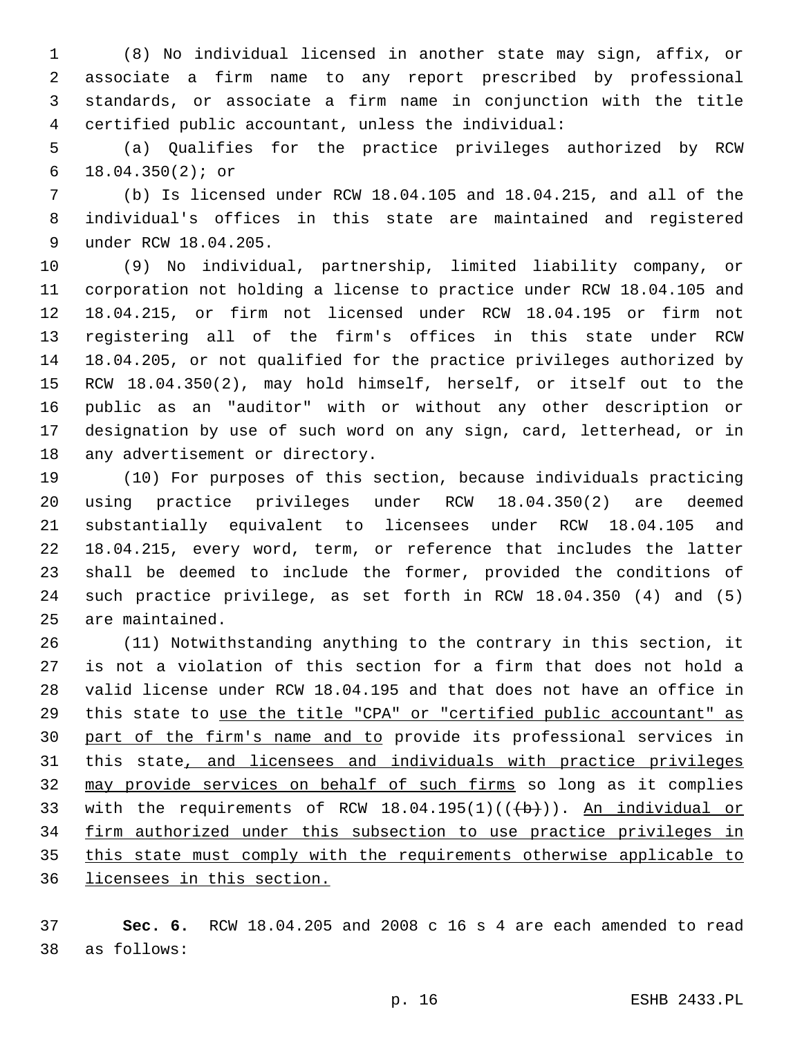(8) No individual licensed in another state may sign, affix, or associate a firm name to any report prescribed by professional standards, or associate a firm name in conjunction with the title certified public accountant, unless the individual:

 (a) Qualifies for the practice privileges authorized by RCW 18.04.350(2); or6

 (b) Is licensed under RCW 18.04.105 and 18.04.215, and all of the individual's offices in this state are maintained and registered 9 under RCW 18.04.205.

 (9) No individual, partnership, limited liability company, or corporation not holding a license to practice under RCW 18.04.105 and 18.04.215, or firm not licensed under RCW 18.04.195 or firm not registering all of the firm's offices in this state under RCW 18.04.205, or not qualified for the practice privileges authorized by RCW 18.04.350(2), may hold himself, herself, or itself out to the public as an "auditor" with or without any other description or designation by use of such word on any sign, card, letterhead, or in 18 any advertisement or directory.

 (10) For purposes of this section, because individuals practicing using practice privileges under RCW 18.04.350(2) are deemed substantially equivalent to licensees under RCW 18.04.105 and 18.04.215, every word, term, or reference that includes the latter shall be deemed to include the former, provided the conditions of such practice privilege, as set forth in RCW 18.04.350 (4) and (5) 25 are maintained.

 (11) Notwithstanding anything to the contrary in this section, it is not a violation of this section for a firm that does not hold a valid license under RCW 18.04.195 and that does not have an office in this state to use the title "CPA" or "certified public accountant" as part of the firm's name and to provide its professional services in this state, and licensees and individuals with practice privileges may provide services on behalf of such firms so long as it complies 33 with the requirements of RCW  $18.04.195(1)((\{ \})$ . An individual or firm authorized under this subsection to use practice privileges in this state must comply with the requirements otherwise applicable to licensees in this section.

 **Sec. 6.** RCW 18.04.205 and 2008 c 16 s 4 are each amended to read 38 as follows: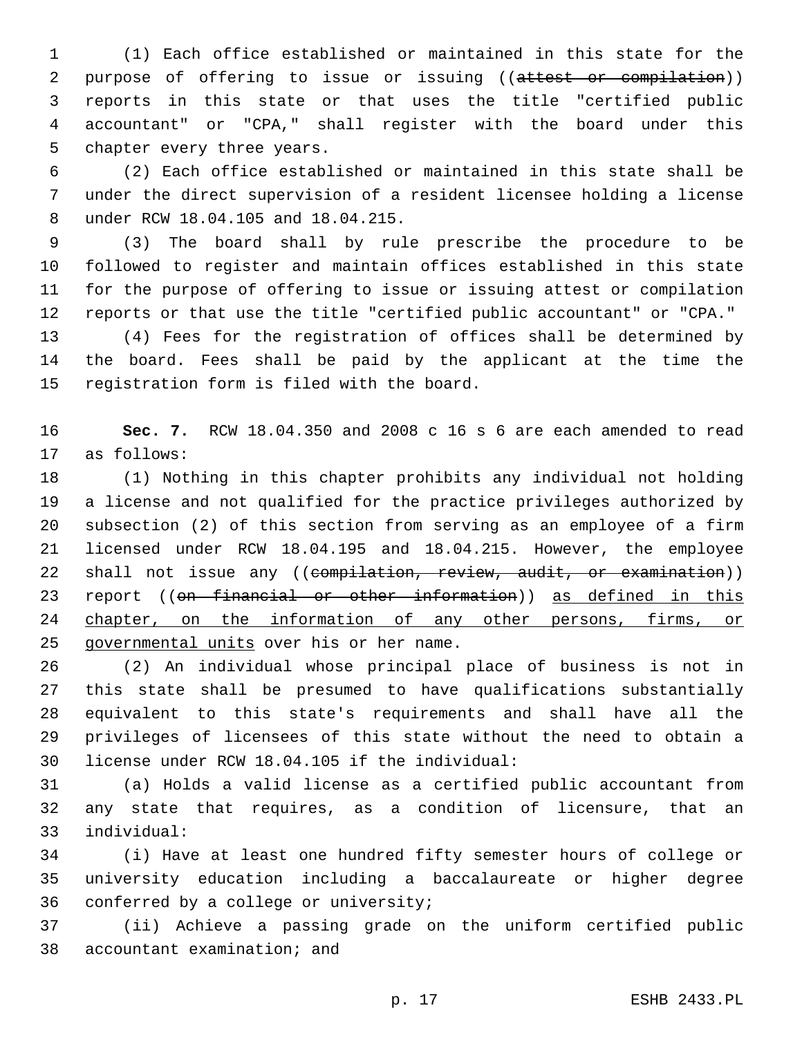(1) Each office established or maintained in this state for the 2 purpose of offering to issue or issuing ((attest or compilation)) reports in this state or that uses the title "certified public accountant" or "CPA," shall register with the board under this 5 chapter every three years.

 (2) Each office established or maintained in this state shall be under the direct supervision of a resident licensee holding a license under RCW 18.04.105 and 18.04.215.8

 (3) The board shall by rule prescribe the procedure to be followed to register and maintain offices established in this state for the purpose of offering to issue or issuing attest or compilation reports or that use the title "certified public accountant" or "CPA."

 (4) Fees for the registration of offices shall be determined by the board. Fees shall be paid by the applicant at the time the 15 registration form is filed with the board.

 **Sec. 7.** RCW 18.04.350 and 2008 c 16 s 6 are each amended to read 17 as follows:

 (1) Nothing in this chapter prohibits any individual not holding a license and not qualified for the practice privileges authorized by subsection (2) of this section from serving as an employee of a firm licensed under RCW 18.04.195 and 18.04.215. However, the employee 22 shall not issue any ((compilation, review, audit, or examination)) 23 report ((on financial or other information)) as defined in this 24 chapter, on the information of any other persons, firms, or 25 governmental units over his or her name.

 (2) An individual whose principal place of business is not in this state shall be presumed to have qualifications substantially equivalent to this state's requirements and shall have all the privileges of licensees of this state without the need to obtain a license under RCW 18.04.105 if the individual:30

 (a) Holds a valid license as a certified public accountant from any state that requires, as a condition of licensure, that an individual:33

 (i) Have at least one hundred fifty semester hours of college or university education including a baccalaureate or higher degree 36 conferred by a college or university;

 (ii) Achieve a passing grade on the uniform certified public 38 accountant examination; and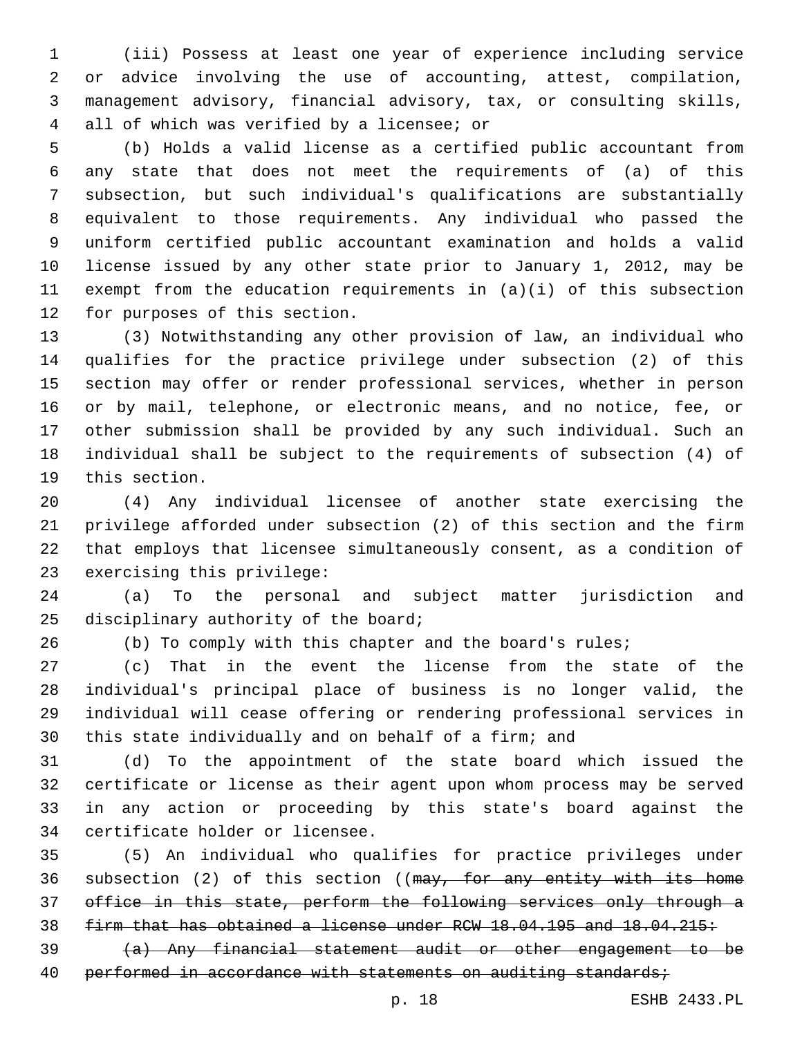(iii) Possess at least one year of experience including service or advice involving the use of accounting, attest, compilation, management advisory, financial advisory, tax, or consulting skills, all of which was verified by a licensee; or4

 (b) Holds a valid license as a certified public accountant from any state that does not meet the requirements of (a) of this subsection, but such individual's qualifications are substantially equivalent to those requirements. Any individual who passed the uniform certified public accountant examination and holds a valid license issued by any other state prior to January 1, 2012, may be exempt from the education requirements in (a)(i) of this subsection 12 for purposes of this section.

 (3) Notwithstanding any other provision of law, an individual who qualifies for the practice privilege under subsection (2) of this section may offer or render professional services, whether in person or by mail, telephone, or electronic means, and no notice, fee, or other submission shall be provided by any such individual. Such an individual shall be subject to the requirements of subsection (4) of 19 this section.

 (4) Any individual licensee of another state exercising the privilege afforded under subsection (2) of this section and the firm that employs that licensee simultaneously consent, as a condition of 23 exercising this privilege:

 (a) To the personal and subject matter jurisdiction and 25 disciplinary authority of the board;

(b) To comply with this chapter and the board's rules;

 (c) That in the event the license from the state of the individual's principal place of business is no longer valid, the individual will cease offering or rendering professional services in this state individually and on behalf of a firm; and

 (d) To the appointment of the state board which issued the certificate or license as their agent upon whom process may be served in any action or proceeding by this state's board against the 34 certificate holder or licensee.

 (5) An individual who qualifies for practice privileges under 36 subsection (2) of this section ((may, for any entity with its home office in this state, perform the following services only through a firm that has obtained a license under RCW 18.04.195 and 18.04.215:

 (a) Any financial statement audit or other engagement to be 40 performed in accordance with statements on auditing standards;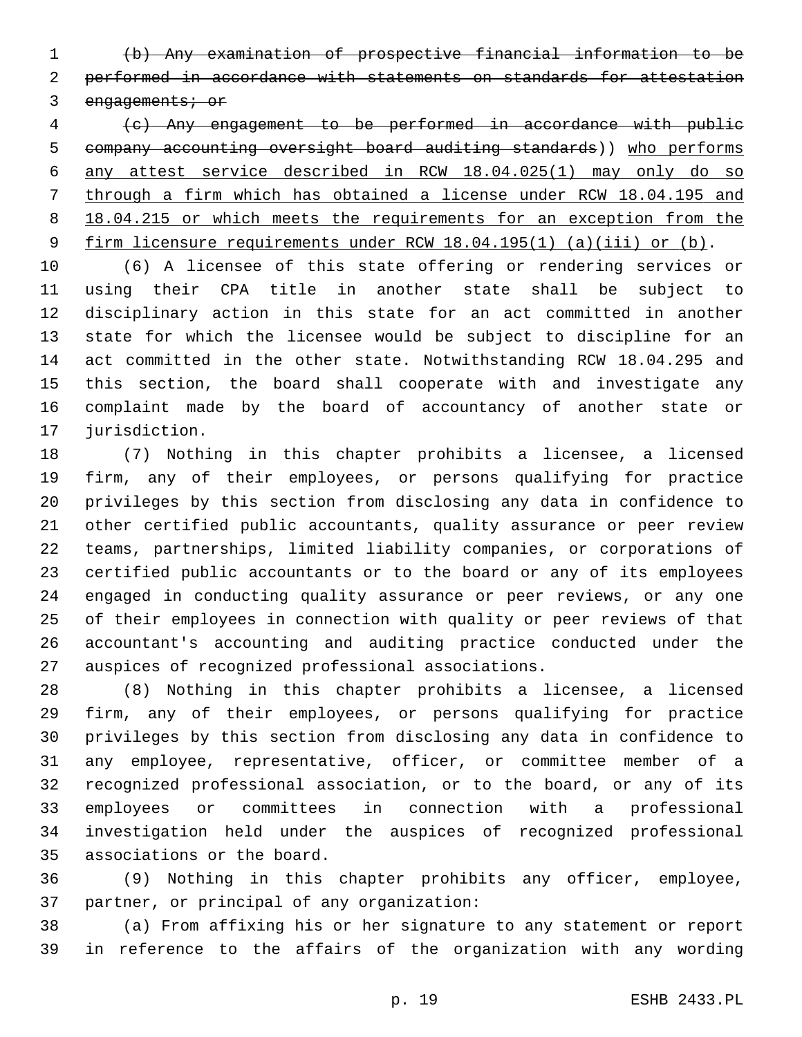(b) Any examination of prospective financial information to be performed in accordance with statements on standards for attestation 3 engagements; or

 (c) Any engagement to be performed in accordance with public company accounting oversight board auditing standards)) who performs any attest service described in RCW 18.04.025(1) may only do so through a firm which has obtained a license under RCW 18.04.195 and 8 18.04.215 or which meets the requirements for an exception from the firm licensure requirements under RCW 18.04.195(1) (a)(iii) or (b).

 (6) A licensee of this state offering or rendering services or using their CPA title in another state shall be subject to disciplinary action in this state for an act committed in another state for which the licensee would be subject to discipline for an act committed in the other state. Notwithstanding RCW 18.04.295 and this section, the board shall cooperate with and investigate any complaint made by the board of accountancy of another state or 17 jurisdiction.

 (7) Nothing in this chapter prohibits a licensee, a licensed firm, any of their employees, or persons qualifying for practice privileges by this section from disclosing any data in confidence to other certified public accountants, quality assurance or peer review teams, partnerships, limited liability companies, or corporations of certified public accountants or to the board or any of its employees engaged in conducting quality assurance or peer reviews, or any one of their employees in connection with quality or peer reviews of that accountant's accounting and auditing practice conducted under the 27 auspices of recognized professional associations.

 (8) Nothing in this chapter prohibits a licensee, a licensed firm, any of their employees, or persons qualifying for practice privileges by this section from disclosing any data in confidence to any employee, representative, officer, or committee member of a recognized professional association, or to the board, or any of its employees or committees in connection with a professional investigation held under the auspices of recognized professional 35 associations or the board.

 (9) Nothing in this chapter prohibits any officer, employee, 37 partner, or principal of any organization:

 (a) From affixing his or her signature to any statement or report in reference to the affairs of the organization with any wording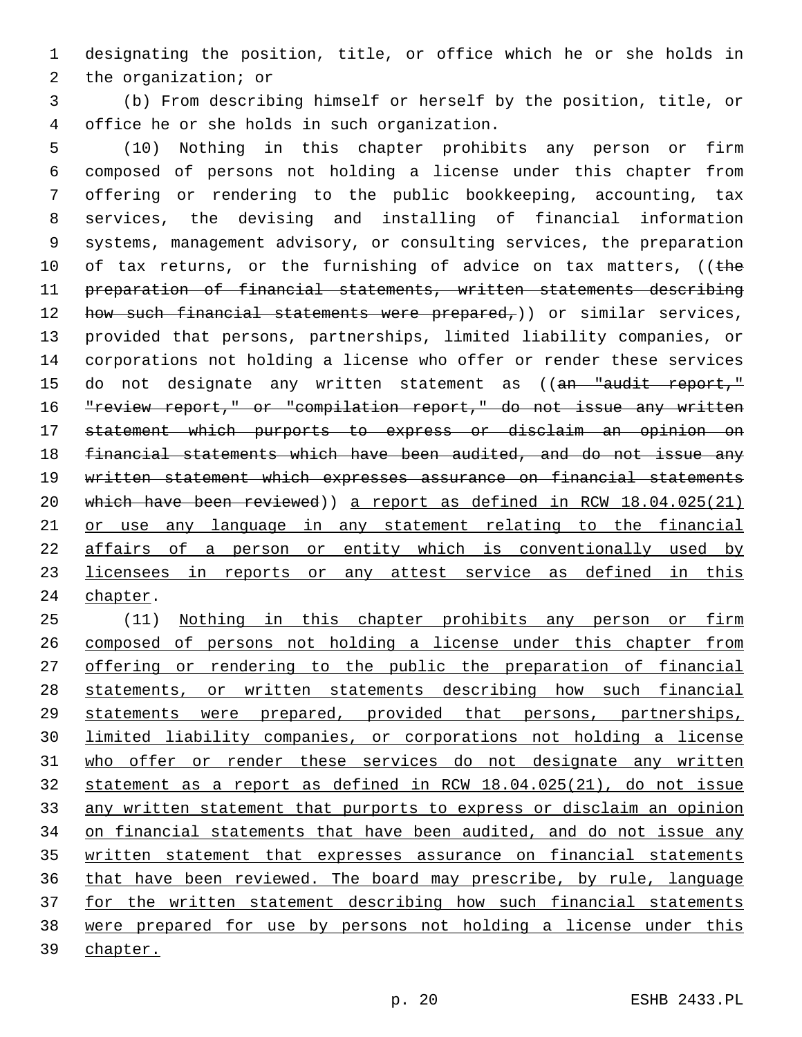designating the position, title, or office which he or she holds in 2 the organization; or

 (b) From describing himself or herself by the position, title, or office he or she holds in such organization.4

 (10) Nothing in this chapter prohibits any person or firm composed of persons not holding a license under this chapter from offering or rendering to the public bookkeeping, accounting, tax services, the devising and installing of financial information systems, management advisory, or consulting services, the preparation 10 of tax returns, or the furnishing of advice on tax matters, ((the preparation of financial statements, written statements describing 12 how such financial statements were prepared,)) or similar services, provided that persons, partnerships, limited liability companies, or corporations not holding a license who offer or render these services 15 do not designate any written statement as ((an "audit report," 16 "review report," or "compilation report," do not issue any written statement which purports to express or disclaim an opinion on financial statements which have been audited, and do not issue any written statement which expresses assurance on financial statements which have been reviewed)) a report as defined in RCW 18.04.025(21) or use any language in any statement relating to the financial affairs of a person or entity which is conventionally used by licensees in reports or any attest service as defined in this 24 chapter.

 (11) Nothing in this chapter prohibits any person or firm composed of persons not holding a license under this chapter from 27 offering or rendering to the public the preparation of financial statements, or written statements describing how such financial statements were prepared, provided that persons, partnerships, limited liability companies, or corporations not holding a license who offer or render these services do not designate any written statement as a report as defined in RCW 18.04.025(21), do not issue any written statement that purports to express or disclaim an opinion on financial statements that have been audited, and do not issue any written statement that expresses assurance on financial statements that have been reviewed. The board may prescribe, by rule, language for the written statement describing how such financial statements were prepared for use by persons not holding a license under this 39 chapter.